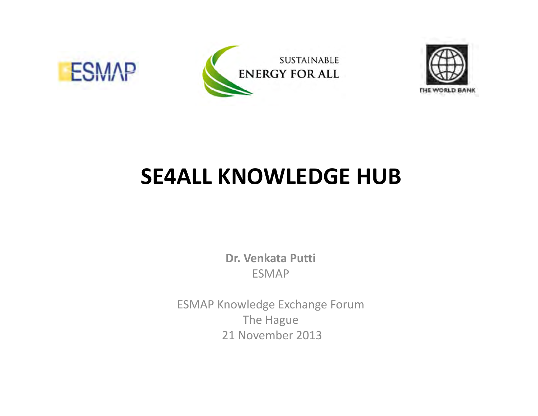





# **SE4ALL KNOWLEDGE HUB**

**Dr. Venkata Putti** ESMAP

ESMAP Knowledge Exchange Forum The Hague 21 November 2013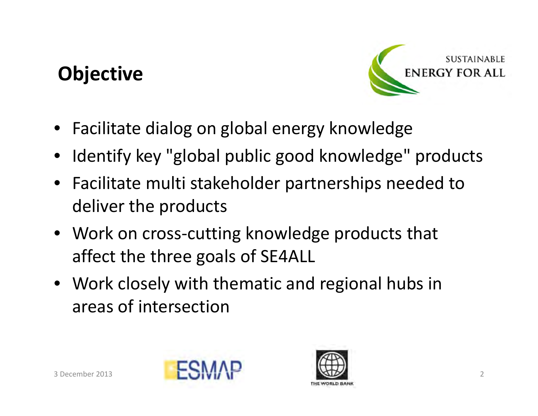# **Objective**



- Facilitate dialog on global energy knowledge
- •Identify key "global public good knowledge" products
- Facilitate multi stakeholder partnerships needed to deliver the products
- Work on cross‐cutting knowledge products that affect the three goals of SE4ALL
- Work closely with thematic and regional hubs in areas of intersection



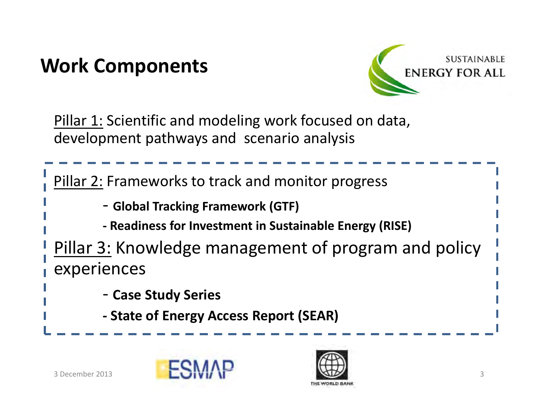# **Work Components**



Pillar 1: Scientific and modeling work focused on data, development pathways and scenario analysis

Pillar 2: Frameworks to track and monitor progress ‐ **Global Tracking Framework (GTF) ‐ Readiness for Investment in Sustainable Energy (RISE)** Pillar 3: Knowledge management of program and policy

experiences

‐ **Case Study Series**

**‐ State of Energy Access Report (SEAR)**



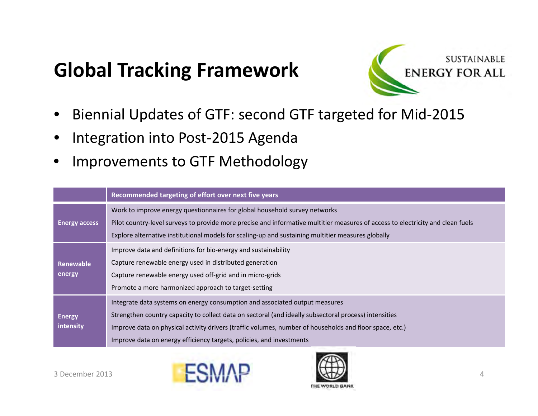# **Global Tracking Framework**



- •Biennial Updates of GTF: second GTF targeted for Mid‐2015
- •Integration into Post‐2015 Agenda
- •Improvements to GTF Methodology

|                      | Recommended targeting of effort over next five years                                                                                                                                                                                  |  |  |  |  |  |  |  |
|----------------------|---------------------------------------------------------------------------------------------------------------------------------------------------------------------------------------------------------------------------------------|--|--|--|--|--|--|--|
|                      | Work to improve energy questionnaires for global household survey networks                                                                                                                                                            |  |  |  |  |  |  |  |
| <b>Energy access</b> | Pilot country-level surveys to provide more precise and informative multitier measures of access to electricity and clean fuels<br>Explore alternative institutional models for scaling-up and sustaining multitier measures globally |  |  |  |  |  |  |  |
|                      | Improve data and definitions for bio-energy and sustainability                                                                                                                                                                        |  |  |  |  |  |  |  |
| Renewable            | Capture renewable energy used in distributed generation                                                                                                                                                                               |  |  |  |  |  |  |  |
| energy               | Capture renewable energy used off-grid and in micro-grids                                                                                                                                                                             |  |  |  |  |  |  |  |
|                      | Promote a more harmonized approach to target-setting                                                                                                                                                                                  |  |  |  |  |  |  |  |
|                      | Integrate data systems on energy consumption and associated output measures                                                                                                                                                           |  |  |  |  |  |  |  |
| <b>Energy</b>        | Strengthen country capacity to collect data on sectoral (and ideally subsectoral process) intensities                                                                                                                                 |  |  |  |  |  |  |  |
| intensity            | Improve data on physical activity drivers (traffic volumes, number of households and floor space, etc.)                                                                                                                               |  |  |  |  |  |  |  |
|                      | Improve data on energy efficiency targets, policies, and investments                                                                                                                                                                  |  |  |  |  |  |  |  |



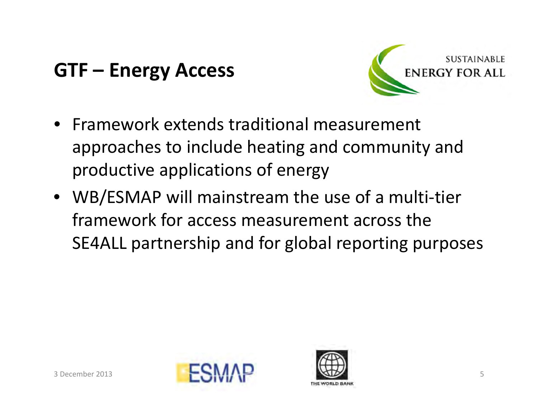

- Framework extends traditional measurement approaches to include heating and community and productive applications of energy
- WB/ESMAP will mainstream the use of <sup>a</sup> multi‐tier framework for access measurement across the SE4ALL partnership and for global reporting purposes



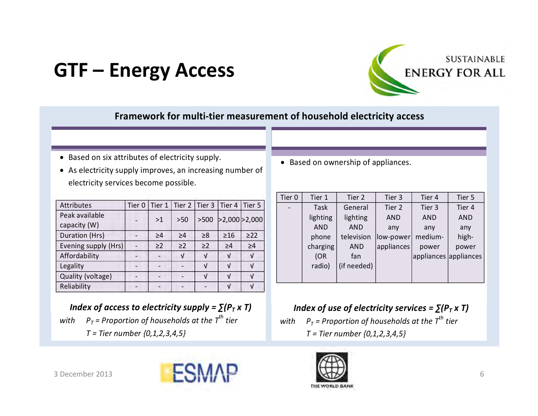

### **Framework for multi‐tier measurement of household electricity access**

- Based on six attributes of electricity supply.
- As electricity supply improves, an increasing number of electricity services become possible.

| <b>Attributes</b>              | Tier <sub>0</sub> | Tier 1 $ $ |          |          | Tier 2   Tier 3   Tier 4 | Tier 5              |
|--------------------------------|-------------------|------------|----------|----------|--------------------------|---------------------|
| Peak available<br>capacity (W) |                   | >1         | $>50$    |          |                          | >500 >2,000 > 2,000 |
| Duration (Hrs)                 |                   | >4         | $\geq 4$ | $\geq 8$ | $\geq 16$                | $\geq$ 22           |
| Evening supply (Hrs)           |                   | $\geq$ 2   | $\geq$ 2 | $\geq$ 2 | $\geq 4$                 | $\geq 4$            |
| Affordability                  |                   |            | V        |          | V                        | $\sqrt{ }$          |
| Legality                       |                   |            |          | V        | ν                        | $\sqrt{ }$          |
| Quality (voltage)              |                   |            |          |          | J                        | J                   |
| Reliability                    |                   |            |          |          | ν                        | V                   |

*Index of access to electricity supply* =  $\sum (P_T \times T)$  $\rho_{\tau}$  = Proportion of households at the  $\tau^{th}$  tier *T <sup>=</sup> Tier number {0,1,2,3,4,5}*

• Based on ownership of appliances.

| Tier <sub>0</sub> | Tier 1     | Tier 2      | Tier 3     | Tier 4                | Tier 5     |
|-------------------|------------|-------------|------------|-----------------------|------------|
|                   | Task       | General     | Tier 2     | Tier 3                | Tier 4     |
|                   | lighting   | lighting    | <b>AND</b> | <b>AND</b>            | <b>AND</b> |
|                   | <b>AND</b> | <b>AND</b>  | any        | any                   | any        |
|                   | phone      | television  | low-power  | medium-               | high-      |
|                   | charging   | <b>AND</b>  | appliances | power                 | power      |
|                   | (OR)       | fan         |            | appliances appliances |            |
|                   | radio)     | (if needed) |            |                       |            |
|                   |            |             |            |                       |            |

### *Index of use of electricity services =*  $\sum (P_T \times T)$

*with PT <sup>=</sup> Proportion of households at the Tth tier T <sup>=</sup> Tier number {0,1,2,3,4,5}*



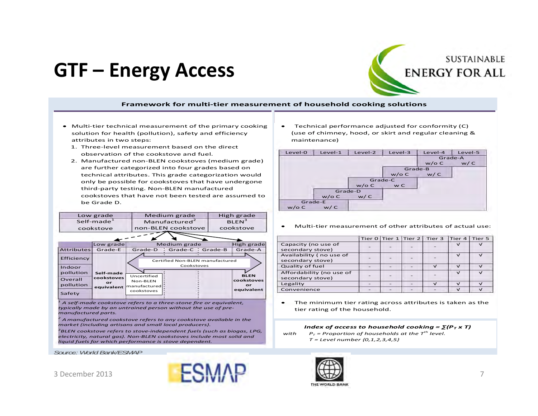# **SUSTAINABLE ENERGY FOR ALL**

#### **Framework for multi‐tier measurement of household cooking solutions**

**Step 1: Technical performance Step 2: Actual use**

- Multi-tier technical measurement of the primary cooking solution for health (pollution), safety and efficiency attributes in two steps:
	- 1. Three‐level measurement based on the direct observation of the cookstove and fuel.
	- 2. Manufactured non‐BLEN cookstoves (medium grade) are further categorized into four grades based on technical attributes. This grade categorization would only be possible for cookstoves that have undergone third‐party testing. Non‐BLEN manufactured cookstoves that have not been tested are assumed tobe Grade D.



*1 A self‐made cookstove refers to <sup>a</sup> three‐stone fire or equivalent, typically made by an untrained person without the use of pre‐ manufactured parts.*

*2 Amanufactured cookstove refers to any cookstove available in the market (including artisans and small local producers).*

*3BLEN cookstove refers to stove‐independent fuels (such as biogas, LPG, electricity, natural gas). Non‐BLEN cookstoves include most solid and liquid fuels for which performance is stove dependent.*

*Source: World Bank/ESMAP*

3 December 2013



 $\bullet$  Technical performance adjusted for conformity (C) (use of chimney, hood, or skirt and regular cleaning & maintenance)

| Level-0  | $Level-1$ | Level-2 | Level-3 | Level-4 | Level-5 |
|----------|-----------|---------|---------|---------|---------|
|          |           |         |         | Grade-A |         |
|          |           |         |         | $w/o$ C | w/C     |
|          |           |         | Grade-B |         |         |
|          |           |         | $w/o$ C | w/C     |         |
|          |           |         | Grade-C |         |         |
|          |           | $w/o$ C | w C     |         |         |
|          |           | Grade-D |         |         |         |
|          | $w/o$ C   | w/C     |         |         |         |
|          | Grade-E   |         |         |         |         |
| $w$ /o C | w/C       |         |         |         |         |

. Multi‐tier measurement of other attributes of actual use:

|                                              |  | Tier $0 \mid$ Tier $1 \mid$ Tier $2 \mid$ Tier 3 | Tier 4        | Tier 5     |
|----------------------------------------------|--|--------------------------------------------------|---------------|------------|
| Capacity (no use of<br>secondary stove)      |  |                                                  | $\checkmark$  | $\sqrt{ }$ |
| Availability (no use of<br>secondary stove)  |  |                                                  | $\checkmark$  | $\sqrt{ }$ |
| Quality of fuel                              |  | $\sqrt{}$                                        | $\sqrt{ }$    | $\sqrt{ }$ |
| Affordability (no use of<br>secondary stove) |  |                                                  | $\sqrt{ }$    | $\sqrt{ }$ |
| Legality                                     |  | $\sqrt{}$                                        | $\sqrt{}$     | $\sqrt{}$  |
| Convenience                                  |  |                                                  | $\mathcal{L}$ | $\sqrt{ }$ |

 $\bullet$  The minimum tier rating across attributes is taken as the tier rating of the household.

#### *Index of access to household cooking* =  $\sum (P_T \times T)$ *withh*  $P_T$  = Proportion of households at the  $T^{th}$  level. *T <sup>=</sup> Level number {0,1,2,3,4,5}*

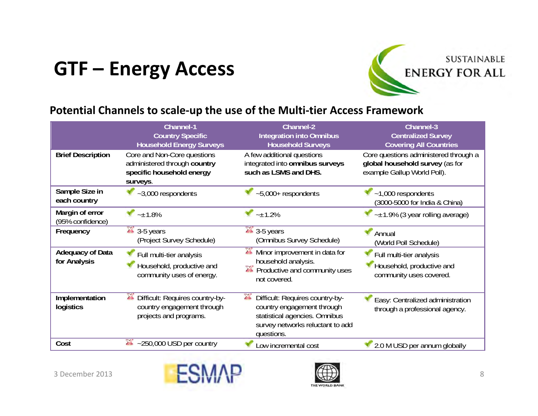

### **Potential Channels to scale‐up the use of the Multi‐tier Access Framework**

|                                         | <b>Channel-1</b><br><b>Country Specific</b><br><b>Household Energy Surveys</b>                       | <b>Channel-2</b><br><b>Integration into Omnibus</b><br><b>Household Surveys</b>                                                                                 | Channel-3<br><b>Centralized Survey</b><br><b>Covering All Countries</b>                                 |
|-----------------------------------------|------------------------------------------------------------------------------------------------------|-----------------------------------------------------------------------------------------------------------------------------------------------------------------|---------------------------------------------------------------------------------------------------------|
| <b>Brief Description</b>                | Core and Non-Core questions<br>administered through country<br>specific household energy<br>surveys. | A few additional questions<br>integrated into omnibus surveys<br>such as LSMS and DHS.                                                                          | Core questions administered through a<br>global household survey (as for<br>example Gallup World Poll). |
| Sample Size in<br>each country          | $~1$ ,000 respondents                                                                                | $-5,000+$ respondents                                                                                                                                           | $~1,000$ respondents<br>(3000-5000 for India & China)                                                   |
| Margin of error<br>(95% confidence)     | $-1.8%$                                                                                              | $-1.2%$                                                                                                                                                         | $-1.9\%$ (3 year rolling average)                                                                       |
| Frequency                               | $3 - 5$ years<br>(Project Survey Schedule)                                                           | <b>24 3-5 years</b><br>(Omnibus Survey Schedule)                                                                                                                | Annual<br>(World Poll Schedule)                                                                         |
| <b>Adequacy of Data</b><br>for Analysis | Full multi-tier analysis<br>Household, productive and<br>community uses of energy.                   | $\mathcal{L}$<br>Minor improvement in data for<br>household analysis.<br>Productive and community uses<br>not covered.                                          | Full multi-tier analysis<br>Household, productive and<br>community uses covered.                        |
| Implementation<br>logistics             | Difficult: Requires country-by-<br>alla.<br>country engagement through<br>projects and programs.     | Difficult: Requires country-by-<br><b>Ario</b><br>country engagement through<br>statistical agencies. Omnibus<br>survey networks reluctant to add<br>questions. | Easy: Centralized administration<br>through a professional agency.                                      |
| Cost                                    | $-250,000$ USD per country<br><b>Alla</b>                                                            | ow incremental cost                                                                                                                                             | 2.0 M USD per annum globally                                                                            |



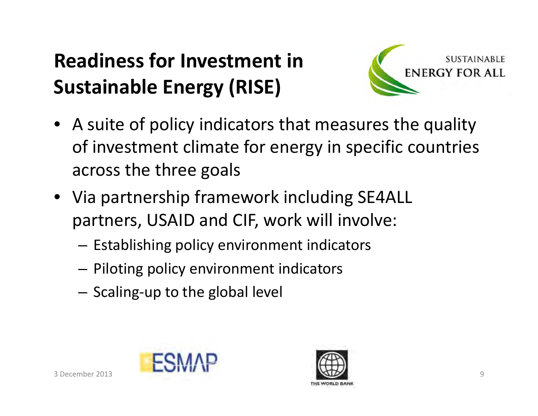# **Readiness for Investment inSustainable Energy (RISE)**



- A suite of policy indicators that measures the quality of investment climate for energy in specific countries across the three goals
- Via partnership framework including SE4ALL partners, USAID and CIF, work will involve:
	- – $-$  Establishing policy environment indicators
	- – $-$  Piloting policy environment indicators
	- $-$  Scaling-up to the global level



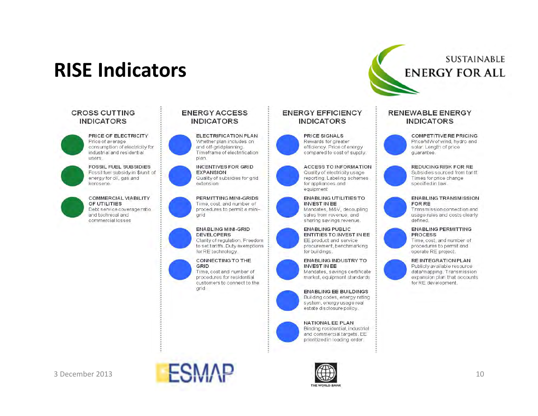# **RISE Indicators**

#### **CROSS CUTTING INDICATORS**

PRICE OF ELECTRICITY Price of average consumption of electricity for industrial and residential users.

**FOSSIL FUEL SUBSIDIES** Fossil fuel subsidy in \$/unit of energy for oil, gas and kerosene.

**COMMERCIAL VIABILITY** OF UTILITIES Debt service coverage ratio and technical and commercial losses



**ELECTRIFICATION PLAN** Whether plan includes on and off-grid planning. Timeframe of electrification plan.

#### **INCENTIVES FOR GRID EXPANSION** Quality of subsidies for grid extension

PERMITTING MINI-GRIDS Time, cost, and number of procedures to permit a mini-

#### ENABLING MINI-GRID **DEVELOPERS**

arid

Clarity of regulation. Freedom to set tariffs. Duty exemptions for RE technology.

#### CONNECTING TO THE

GRID Time, cost and number of procedures for residential customers to connect to the arid.

#### **ENERGY EFFICIENCY INDICATORS**



**ACCESS TO INFORMATION** Quality of electricity usage reporting. Labeling schemes for appliances and equipment

#### **ENABLING UTILITIES TO INVEST IN EE**

Mandates, M&V, decoupling sales from revenue, and sharing savings revenue.

#### **ENABLING PUBLIC** ENTITIES TO INVEST IN EE EE product and service

procurement, benchmarking for buildings.



### Mandates, savings certificate market, equipment standards



#### NATIONAL EE PLAN

Binding residential, industrial and commercial targets. EE prioritized in loading order.



**COMPETITIVE RE PRICING** Price/MW of wind, hydro and solar. Length of price quarantee.

**SUSTAINABLE** 

**ENERGY FOR ALL** 

#### **REDUCING RISK FOR RE**

Subsidies sourced from tariff. Times for price change specified in law.

#### **ENABLING TRANSMISSION** FOR RE

Transmission connection and usage rules and costs clearly defined.

#### **ENABLING PERMITTING PROCESS**

Time, cost, and number of procedures to permit and operate RE project.

#### RE INTEGRATION PLAN



3 December 2013



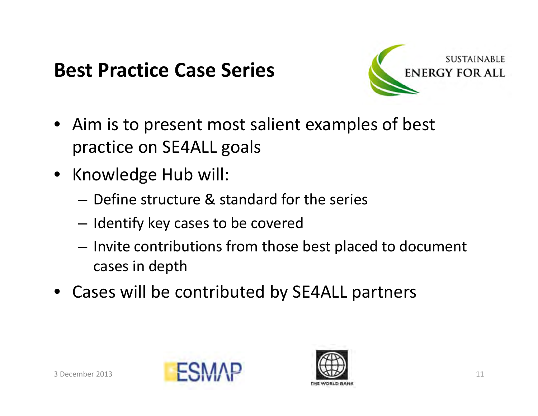## **Best Practice Case Series**



- Aim is to present most salient examples of best practice on SE4ALL goals
- Knowledge Hub will:
	- Define structure & standard for the series
	- $-$  Identify key cases to be covered
	- Invite contributions from those best placed to document cases in depth
- Cases will be contributed by SE4ALL partners



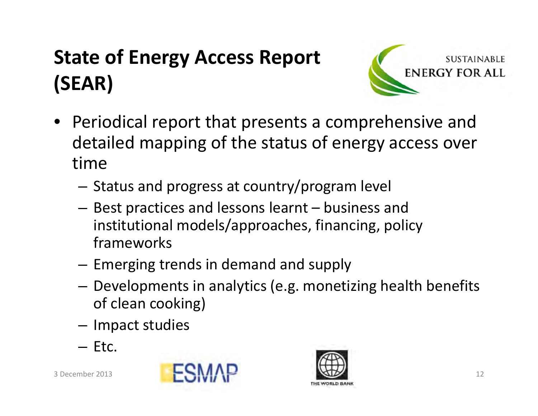# **State of Energy Access Report (SEAR)**



- Periodical report that presents <sup>a</sup> comprehensive and detailed mapping of the status of energy access over time
	- $-$  Status and progress at country/program level
	- $-$  Best practices and lessons learnt  $-$  business and institutional models/approaches, financing, policy frameworks
	- $-$  Emerging trends in demand and supply
	- – Developments in analytics (e.g. monetizing health benefits of clean cooking)
	- $-$  Impact studies
	- Etc.



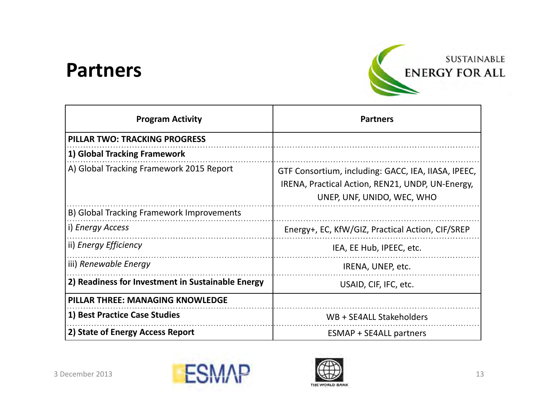## **Partners**



| <b>Program Activity</b>                           | <b>Partners</b>                                                                                                                       |  |  |  |  |  |  |
|---------------------------------------------------|---------------------------------------------------------------------------------------------------------------------------------------|--|--|--|--|--|--|
| <b>PILLAR TWO: TRACKING PROGRESS</b>              |                                                                                                                                       |  |  |  |  |  |  |
| 1) Global Tracking Framework                      |                                                                                                                                       |  |  |  |  |  |  |
| A) Global Tracking Framework 2015 Report          | GTF Consortium, including: GACC, IEA, IIASA, IPEEC,<br>IRENA, Practical Action, REN21, UNDP, UN-Energy,<br>UNEP, UNF, UNIDO, WEC, WHO |  |  |  |  |  |  |
| B) Global Tracking Framework Improvements         |                                                                                                                                       |  |  |  |  |  |  |
| i) Energy Access                                  | Energy+, EC, KfW/GIZ, Practical Action, CIF/SREP                                                                                      |  |  |  |  |  |  |
| ii) Energy Efficiency                             | IEA, EE Hub, IPEEC, etc.                                                                                                              |  |  |  |  |  |  |
| iii) Renewable Energy                             | IRENA, UNEP, etc.                                                                                                                     |  |  |  |  |  |  |
| 2) Readiness for Investment in Sustainable Energy | USAID, CIF, IFC, etc.                                                                                                                 |  |  |  |  |  |  |
| <b>PILLAR THREE: MANAGING KNOWLEDGE</b>           |                                                                                                                                       |  |  |  |  |  |  |
| 1) Best Practice Case Studies                     | WB + SE4ALL Stakeholders                                                                                                              |  |  |  |  |  |  |
| 2) State of Energy Access Report                  | <b>ESMAP + SE4ALL partners</b>                                                                                                        |  |  |  |  |  |  |



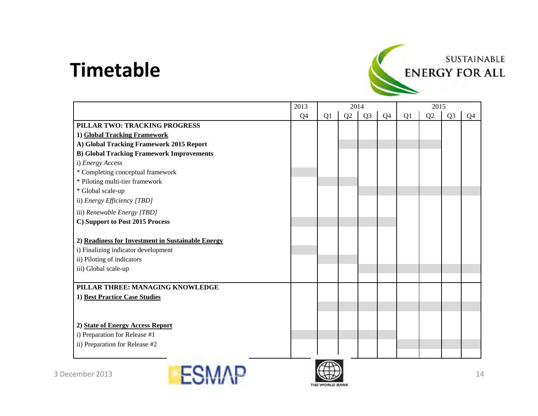## **Timetable**



|                                                   | 2013 |    | 2014 |                |                | 2015 |    |                |                |
|---------------------------------------------------|------|----|------|----------------|----------------|------|----|----------------|----------------|
|                                                   | Q4   | Q1 | Q2   | Q <sub>3</sub> | Q <sub>4</sub> | Q1   | Q2 | Q <sub>3</sub> | Q <sub>4</sub> |
| PILLAR TWO: TRACKING PROGRESS                     |      |    |      |                |                |      |    |                |                |
| 1) Global Tracking Framework                      |      |    |      |                |                |      |    |                |                |
| A) Global Tracking Framework 2015 Report          |      |    |      |                |                |      |    |                |                |
| <b>B) Global Tracking Framework Improvements</b>  |      |    |      |                |                |      |    |                |                |
| i) Energy Access                                  |      |    |      |                |                |      |    |                |                |
| * Completing conceptual framework                 |      |    |      |                |                |      |    |                |                |
| * Piloting multi-tier framework                   |      |    |      |                |                |      |    |                |                |
| * Global scale-up                                 |      |    |      |                |                |      |    |                |                |
| ii) Energy Efficiency [TBD]                       |      |    |      |                |                |      |    |                |                |
| iii) Renewable Energy [TBD]                       |      |    |      |                |                |      |    |                |                |
| C) Support to Post 2015 Process                   |      |    |      |                |                |      |    |                |                |
|                                                   |      |    |      |                |                |      |    |                |                |
| 2) Readiness for Investment in Sustainable Energy |      |    |      |                |                |      |    |                |                |
| i) Finalizing indicator development               |      |    |      |                |                |      |    |                |                |
| ii) Piloting of indicators                        |      |    |      |                |                |      |    |                |                |
| iii) Global scale-up                              |      |    |      |                |                |      |    |                |                |
|                                                   |      |    |      |                |                |      |    |                |                |
| PILLAR THREE: MANAGING KNOWLEDGE                  |      |    |      |                |                |      |    |                |                |
| 1) Best Practice Case Studies                     |      |    |      |                |                |      |    |                |                |
|                                                   |      |    |      |                |                |      |    |                |                |
|                                                   |      |    |      |                |                |      |    |                |                |
| 2) State of Energy Access Report                  |      |    |      |                |                |      |    |                |                |
| i) Preparation for Release #1                     |      |    |      |                |                |      |    |                |                |
| ii) Preparation for Release #2                    |      |    |      |                |                |      |    |                |                |
|                                                   |      |    |      |                |                |      |    |                |                |